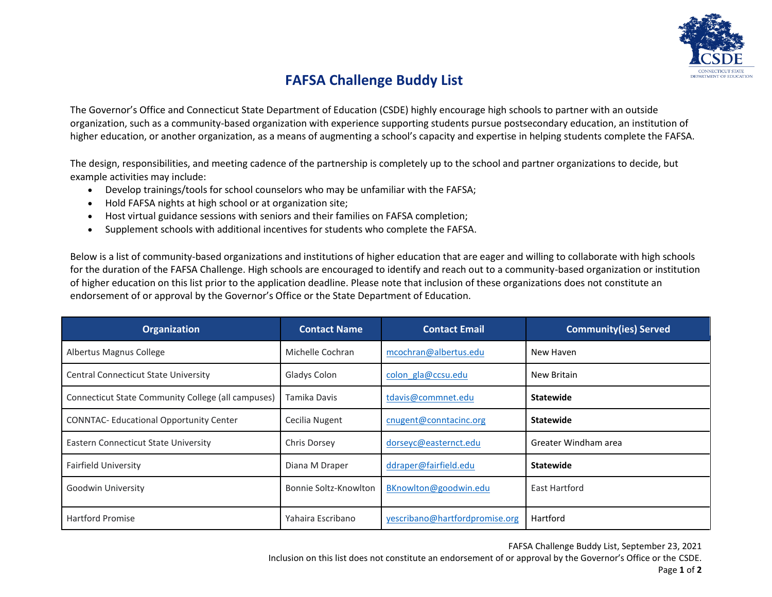

## **FAFSA Challenge Buddy List**

The Governor's Office and Connecticut State Department of Education (CSDE) highly encourage high schools to partner with an outside organization, such as a community-based organization with experience supporting students pursue postsecondary education, an institution of higher education, or another organization, as a means of augmenting a school's capacity and expertise in helping students complete the FAFSA.

The design, responsibilities, and meeting cadence of the partnership is completely up to the school and partner organizations to decide, but example activities may include:

- Develop trainings/tools for school counselors who may be unfamiliar with the FAFSA;
- Hold FAFSA nights at high school or at organization site;
- Host virtual guidance sessions with seniors and their families on FAFSA completion;
- Supplement schools with additional incentives for students who complete the FAFSA.

Below is a list of community-based organizations and institutions of higher education that are eager and willing to collaborate with high schools for the duration of the FAFSA Challenge. High schools are encouraged to identify and reach out to a community-based organization or institution of higher education on this list prior to the application deadline. Please note that inclusion of these organizations does not constitute an endorsement of or approval by the Governor's Office or the State Department of Education.

| <b>Organization</b>                                | <b>Contact Name</b>   | <b>Contact Email</b>           | <b>Community(ies) Served</b> |
|----------------------------------------------------|-----------------------|--------------------------------|------------------------------|
| Albertus Magnus College                            | Michelle Cochran      | mcochran@albertus.edu          | New Haven                    |
| <b>Central Connecticut State University</b>        | Gladys Colon          | colon gla@ccsu.edu             | New Britain                  |
| Connecticut State Community College (all campuses) | Tamika Davis          | tdavis@commnet.edu             | <b>Statewide</b>             |
| <b>CONNTAC-Educational Opportunity Center</b>      | Cecilia Nugent        | cnugent@conntacinc.org         | <b>Statewide</b>             |
| Eastern Connecticut State University               | Chris Dorsey          | dorseyc@easternct.edu          | Greater Windham area         |
| <b>Fairfield University</b>                        | Diana M Draper        | ddraper@fairfield.edu          | <b>Statewide</b>             |
| Goodwin University                                 | Bonnie Soltz-Knowlton | BKnowlton@goodwin.edu          | East Hartford                |
| <b>Hartford Promise</b>                            | Yahaira Escribano     | yescribano@hartfordpromise.org | Hartford                     |

FAFSA Challenge Buddy List, September 23, 2021

Inclusion on this list does not constitute an endorsement of or approval by the Governor's Office or the CSDE. Page **1** of **2**